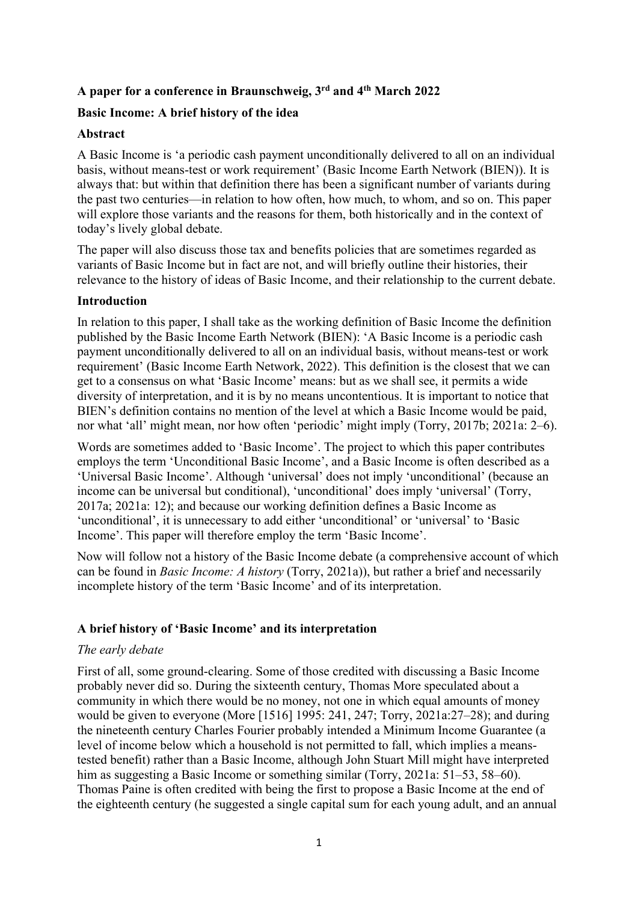# **A paper for a conference in Braunschweig, 3rd and 4th March 2022**

## **Basic Income: A brief history of the idea**

### **Abstract**

A Basic Income is 'a periodic cash payment unconditionally delivered to all on an individual basis, without means-test or work requirement' (Basic Income Earth Network (BIEN)). It is always that: but within that definition there has been a significant number of variants during the past two centuries—in relation to how often, how much, to whom, and so on. This paper will explore those variants and the reasons for them, both historically and in the context of today's lively global debate.

The paper will also discuss those tax and benefits policies that are sometimes regarded as variants of Basic Income but in fact are not, and will briefly outline their histories, their relevance to the history of ideas of Basic Income, and their relationship to the current debate.

### **Introduction**

In relation to this paper, I shall take as the working definition of Basic Income the definition published by the Basic Income Earth Network (BIEN): 'A Basic Income is a periodic cash payment unconditionally delivered to all on an individual basis, without means-test or work requirement' (Basic Income Earth Network, 2022). This definition is the closest that we can get to a consensus on what 'Basic Income' means: but as we shall see, it permits a wide diversity of interpretation, and it is by no means uncontentious. It is important to notice that BIEN's definition contains no mention of the level at which a Basic Income would be paid, nor what 'all' might mean, nor how often 'periodic' might imply (Torry, 2017b; 2021a: 2–6).

Words are sometimes added to 'Basic Income'. The project to which this paper contributes employs the term 'Unconditional Basic Income', and a Basic Income is often described as a 'Universal Basic Income'. Although 'universal' does not imply 'unconditional' (because an income can be universal but conditional), 'unconditional' does imply 'universal' (Torry, 2017a; 2021a: 12); and because our working definition defines a Basic Income as 'unconditional', it is unnecessary to add either 'unconditional' or 'universal' to 'Basic Income'. This paper will therefore employ the term 'Basic Income'.

Now will follow not a history of the Basic Income debate (a comprehensive account of which can be found in *Basic Income: A history* (Torry, 2021a)), but rather a brief and necessarily incomplete history of the term 'Basic Income' and of its interpretation.

## **A brief history of 'Basic Income' and its interpretation**

### *The early debate*

First of all, some ground-clearing. Some of those credited with discussing a Basic Income probably never did so. During the sixteenth century, Thomas More speculated about a community in which there would be no money, not one in which equal amounts of money would be given to everyone (More [1516] 1995: 241, 247; Torry, 2021a:27–28); and during the nineteenth century Charles Fourier probably intended a Minimum Income Guarantee (a level of income below which a household is not permitted to fall, which implies a meanstested benefit) rather than a Basic Income, although John Stuart Mill might have interpreted him as suggesting a Basic Income or something similar (Torry, 2021a: 51–53, 58–60). Thomas Paine is often credited with being the first to propose a Basic Income at the end of the eighteenth century (he suggested a single capital sum for each young adult, and an annual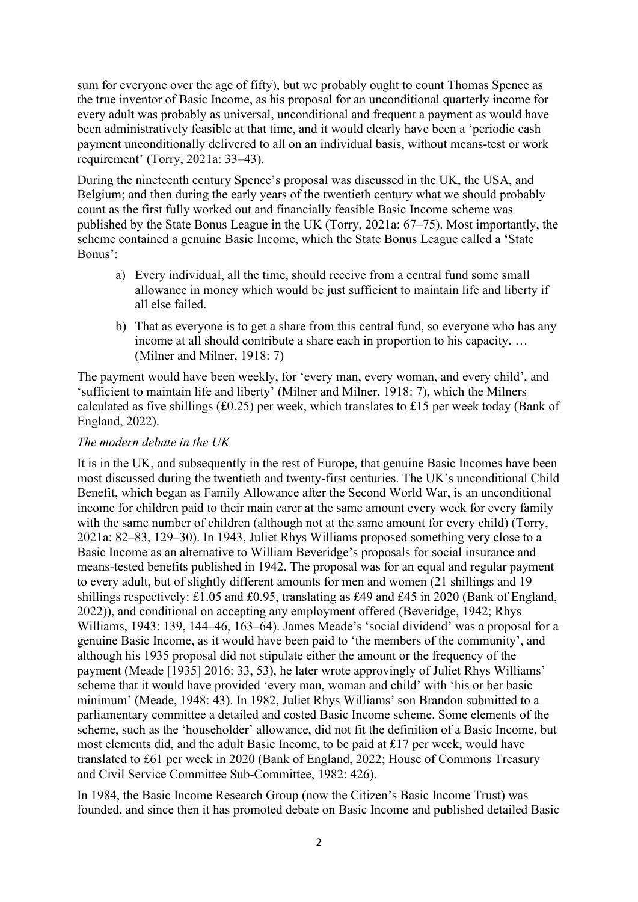sum for everyone over the age of fifty), but we probably ought to count Thomas Spence as the true inventor of Basic Income, as his proposal for an unconditional quarterly income for every adult was probably as universal, unconditional and frequent a payment as would have been administratively feasible at that time, and it would clearly have been a 'periodic cash payment unconditionally delivered to all on an individual basis, without means-test or work requirement' (Torry, 2021a: 33–43).

During the nineteenth century Spence's proposal was discussed in the UK, the USA, and Belgium; and then during the early years of the twentieth century what we should probably count as the first fully worked out and financially feasible Basic Income scheme was published by the State Bonus League in the UK (Torry, 2021a: 67–75). Most importantly, the scheme contained a genuine Basic Income, which the State Bonus League called a 'State Bonus':

- a) Every individual, all the time, should receive from a central fund some small allowance in money which would be just sufficient to maintain life and liberty if all else failed.
- b) That as everyone is to get a share from this central fund, so everyone who has any income at all should contribute a share each in proportion to his capacity. … (Milner and Milner, 1918: 7)

The payment would have been weekly, for 'every man, every woman, and every child', and 'sufficient to maintain life and liberty' (Milner and Milner, 1918: 7), which the Milners calculated as five shillings (£0.25) per week, which translates to £15 per week today (Bank of England, 2022).

## *The modern debate in the UK*

It is in the UK, and subsequently in the rest of Europe, that genuine Basic Incomes have been most discussed during the twentieth and twenty-first centuries. The UK's unconditional Child Benefit, which began as Family Allowance after the Second World War, is an unconditional income for children paid to their main carer at the same amount every week for every family with the same number of children (although not at the same amount for every child) (Torry, 2021a: 82–83, 129–30). In 1943, Juliet Rhys Williams proposed something very close to a Basic Income as an alternative to William Beveridge's proposals for social insurance and means-tested benefits published in 1942. The proposal was for an equal and regular payment to every adult, but of slightly different amounts for men and women (21 shillings and 19 shillings respectively: £1.05 and £0.95, translating as £49 and £45 in 2020 (Bank of England, 2022)), and conditional on accepting any employment offered (Beveridge, 1942; Rhys Williams, 1943: 139, 144–46, 163–64). James Meade's 'social dividend' was a proposal for a genuine Basic Income, as it would have been paid to 'the members of the community', and although his 1935 proposal did not stipulate either the amount or the frequency of the payment (Meade [1935] 2016: 33, 53), he later wrote approvingly of Juliet Rhys Williams' scheme that it would have provided 'every man, woman and child' with 'his or her basic minimum' (Meade, 1948: 43). In 1982, Juliet Rhys Williams' son Brandon submitted to a parliamentary committee a detailed and costed Basic Income scheme. Some elements of the scheme, such as the 'householder' allowance, did not fit the definition of a Basic Income, but most elements did, and the adult Basic Income, to be paid at £17 per week, would have translated to £61 per week in 2020 (Bank of England, 2022; House of Commons Treasury and Civil Service Committee Sub-Committee, 1982: 426).

In 1984, the Basic Income Research Group (now the Citizen's Basic Income Trust) was founded, and since then it has promoted debate on Basic Income and published detailed Basic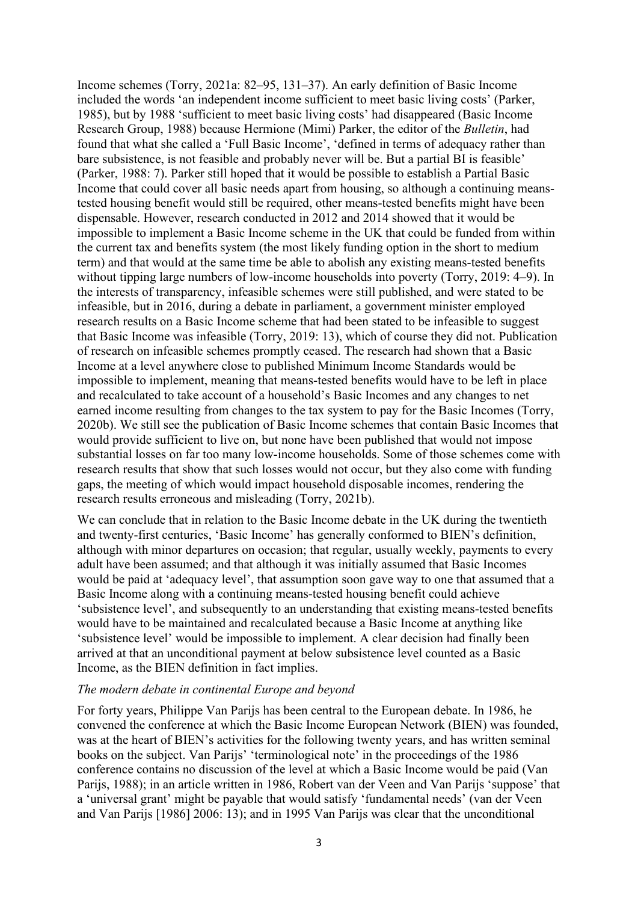Income schemes (Torry, 2021a: 82–95, 131–37). An early definition of Basic Income included the words 'an independent income sufficient to meet basic living costs' (Parker, 1985), but by 1988 'sufficient to meet basic living costs' had disappeared (Basic Income Research Group, 1988) because Hermione (Mimi) Parker, the editor of the *Bulletin*, had found that what she called a 'Full Basic Income', 'defined in terms of adequacy rather than bare subsistence, is not feasible and probably never will be. But a partial BI is feasible' (Parker, 1988: 7). Parker still hoped that it would be possible to establish a Partial Basic Income that could cover all basic needs apart from housing, so although a continuing meanstested housing benefit would still be required, other means-tested benefits might have been dispensable. However, research conducted in 2012 and 2014 showed that it would be impossible to implement a Basic Income scheme in the UK that could be funded from within the current tax and benefits system (the most likely funding option in the short to medium term) and that would at the same time be able to abolish any existing means-tested benefits without tipping large numbers of low-income households into poverty (Torry, 2019: 4–9). In the interests of transparency, infeasible schemes were still published, and were stated to be infeasible, but in 2016, during a debate in parliament, a government minister employed research results on a Basic Income scheme that had been stated to be infeasible to suggest that Basic Income was infeasible (Torry, 2019: 13), which of course they did not. Publication of research on infeasible schemes promptly ceased. The research had shown that a Basic Income at a level anywhere close to published Minimum Income Standards would be impossible to implement, meaning that means-tested benefits would have to be left in place and recalculated to take account of a household's Basic Incomes and any changes to net earned income resulting from changes to the tax system to pay for the Basic Incomes (Torry, 2020b). We still see the publication of Basic Income schemes that contain Basic Incomes that would provide sufficient to live on, but none have been published that would not impose substantial losses on far too many low-income households. Some of those schemes come with research results that show that such losses would not occur, but they also come with funding gaps, the meeting of which would impact household disposable incomes, rendering the research results erroneous and misleading (Torry, 2021b).

We can conclude that in relation to the Basic Income debate in the UK during the twentieth and twenty-first centuries, 'Basic Income' has generally conformed to BIEN's definition, although with minor departures on occasion; that regular, usually weekly, payments to every adult have been assumed; and that although it was initially assumed that Basic Incomes would be paid at 'adequacy level', that assumption soon gave way to one that assumed that a Basic Income along with a continuing means-tested housing benefit could achieve 'subsistence level', and subsequently to an understanding that existing means-tested benefits would have to be maintained and recalculated because a Basic Income at anything like 'subsistence level' would be impossible to implement. A clear decision had finally been arrived at that an unconditional payment at below subsistence level counted as a Basic Income, as the BIEN definition in fact implies.

#### *The modern debate in continental Europe and beyond*

For forty years, Philippe Van Parijs has been central to the European debate. In 1986, he convened the conference at which the Basic Income European Network (BIEN) was founded, was at the heart of BIEN's activities for the following twenty years, and has written seminal books on the subject. Van Parijs' 'terminological note' in the proceedings of the 1986 conference contains no discussion of the level at which a Basic Income would be paid (Van Parijs, 1988); in an article written in 1986, Robert van der Veen and Van Parijs 'suppose' that a 'universal grant' might be payable that would satisfy 'fundamental needs' (van der Veen and Van Parijs [1986] 2006: 13); and in 1995 Van Parijs was clear that the unconditional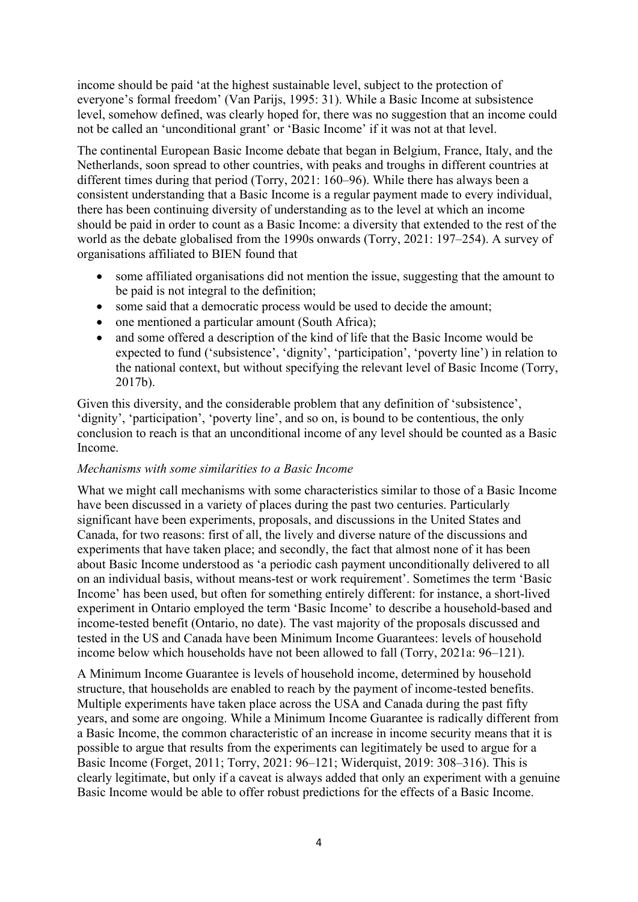income should be paid 'at the highest sustainable level, subject to the protection of everyone's formal freedom' (Van Parijs, 1995: 31). While a Basic Income at subsistence level, somehow defined, was clearly hoped for, there was no suggestion that an income could not be called an 'unconditional grant' or 'Basic Income' if it was not at that level.

The continental European Basic Income debate that began in Belgium, France, Italy, and the Netherlands, soon spread to other countries, with peaks and troughs in different countries at different times during that period (Torry, 2021: 160–96). While there has always been a consistent understanding that a Basic Income is a regular payment made to every individual, there has been continuing diversity of understanding as to the level at which an income should be paid in order to count as a Basic Income: a diversity that extended to the rest of the world as the debate globalised from the 1990s onwards (Torry, 2021: 197–254). A survey of organisations affiliated to BIEN found that

- some affiliated organisations did not mention the issue, suggesting that the amount to be paid is not integral to the definition;
- some said that a democratic process would be used to decide the amount;
- one mentioned a particular amount (South Africa);
- and some offered a description of the kind of life that the Basic Income would be expected to fund ('subsistence', 'dignity', 'participation', 'poverty line') in relation to the national context, but without specifying the relevant level of Basic Income (Torry, 2017b).

Given this diversity, and the considerable problem that any definition of 'subsistence', 'dignity', 'participation', 'poverty line', and so on, is bound to be contentious, the only conclusion to reach is that an unconditional income of any level should be counted as a Basic Income.

### *Mechanisms with some similarities to a Basic Income*

What we might call mechanisms with some characteristics similar to those of a Basic Income have been discussed in a variety of places during the past two centuries. Particularly significant have been experiments, proposals, and discussions in the United States and Canada, for two reasons: first of all, the lively and diverse nature of the discussions and experiments that have taken place; and secondly, the fact that almost none of it has been about Basic Income understood as 'a periodic cash payment unconditionally delivered to all on an individual basis, without means-test or work requirement'. Sometimes the term 'Basic Income' has been used, but often for something entirely different: for instance, a short-lived experiment in Ontario employed the term 'Basic Income' to describe a household-based and income-tested benefit (Ontario, no date). The vast majority of the proposals discussed and tested in the US and Canada have been Minimum Income Guarantees: levels of household income below which households have not been allowed to fall (Torry, 2021a: 96–121).

A Minimum Income Guarantee is levels of household income, determined by household structure, that households are enabled to reach by the payment of income-tested benefits. Multiple experiments have taken place across the USA and Canada during the past fifty years, and some are ongoing. While a Minimum Income Guarantee is radically different from a Basic Income, the common characteristic of an increase in income security means that it is possible to argue that results from the experiments can legitimately be used to argue for a Basic Income (Forget, 2011; Torry, 2021: 96–121; Widerquist, 2019: 308–316). This is clearly legitimate, but only if a caveat is always added that only an experiment with a genuine Basic Income would be able to offer robust predictions for the effects of a Basic Income.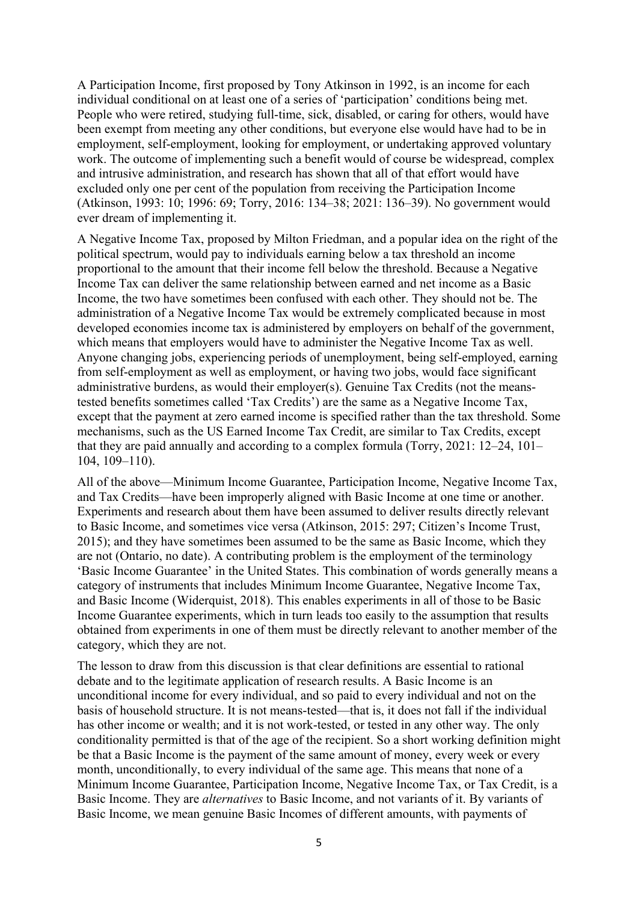A Participation Income, first proposed by Tony Atkinson in 1992, is an income for each individual conditional on at least one of a series of 'participation' conditions being met. People who were retired, studying full-time, sick, disabled, or caring for others, would have been exempt from meeting any other conditions, but everyone else would have had to be in employment, self-employment, looking for employment, or undertaking approved voluntary work. The outcome of implementing such a benefit would of course be widespread, complex and intrusive administration, and research has shown that all of that effort would have excluded only one per cent of the population from receiving the Participation Income (Atkinson, 1993: 10; 1996: 69; Torry, 2016: 134–38; 2021: 136–39). No government would ever dream of implementing it.

A Negative Income Tax, proposed by Milton Friedman, and a popular idea on the right of the political spectrum, would pay to individuals earning below a tax threshold an income proportional to the amount that their income fell below the threshold. Because a Negative Income Tax can deliver the same relationship between earned and net income as a Basic Income, the two have sometimes been confused with each other. They should not be. The administration of a Negative Income Tax would be extremely complicated because in most developed economies income tax is administered by employers on behalf of the government, which means that employers would have to administer the Negative Income Tax as well. Anyone changing jobs, experiencing periods of unemployment, being self-employed, earning from self-employment as well as employment, or having two jobs, would face significant administrative burdens, as would their employer(s). Genuine Tax Credits (not the meanstested benefits sometimes called 'Tax Credits') are the same as a Negative Income Tax, except that the payment at zero earned income is specified rather than the tax threshold. Some mechanisms, such as the US Earned Income Tax Credit, are similar to Tax Credits, except that they are paid annually and according to a complex formula (Torry, 2021: 12–24, 101– 104, 109–110).

All of the above—Minimum Income Guarantee, Participation Income, Negative Income Tax, and Tax Credits—have been improperly aligned with Basic Income at one time or another. Experiments and research about them have been assumed to deliver results directly relevant to Basic Income, and sometimes vice versa (Atkinson, 2015: 297; Citizen's Income Trust, 2015); and they have sometimes been assumed to be the same as Basic Income, which they are not (Ontario, no date). A contributing problem is the employment of the terminology 'Basic Income Guarantee' in the United States. This combination of words generally means a category of instruments that includes Minimum Income Guarantee, Negative Income Tax, and Basic Income (Widerquist, 2018). This enables experiments in all of those to be Basic Income Guarantee experiments, which in turn leads too easily to the assumption that results obtained from experiments in one of them must be directly relevant to another member of the category, which they are not.

The lesson to draw from this discussion is that clear definitions are essential to rational debate and to the legitimate application of research results. A Basic Income is an unconditional income for every individual, and so paid to every individual and not on the basis of household structure. It is not means-tested—that is, it does not fall if the individual has other income or wealth; and it is not work-tested, or tested in any other way. The only conditionality permitted is that of the age of the recipient. So a short working definition might be that a Basic Income is the payment of the same amount of money, every week or every month, unconditionally, to every individual of the same age. This means that none of a Minimum Income Guarantee, Participation Income, Negative Income Tax, or Tax Credit, is a Basic Income. They are *alternatives* to Basic Income, and not variants of it. By variants of Basic Income, we mean genuine Basic Incomes of different amounts, with payments of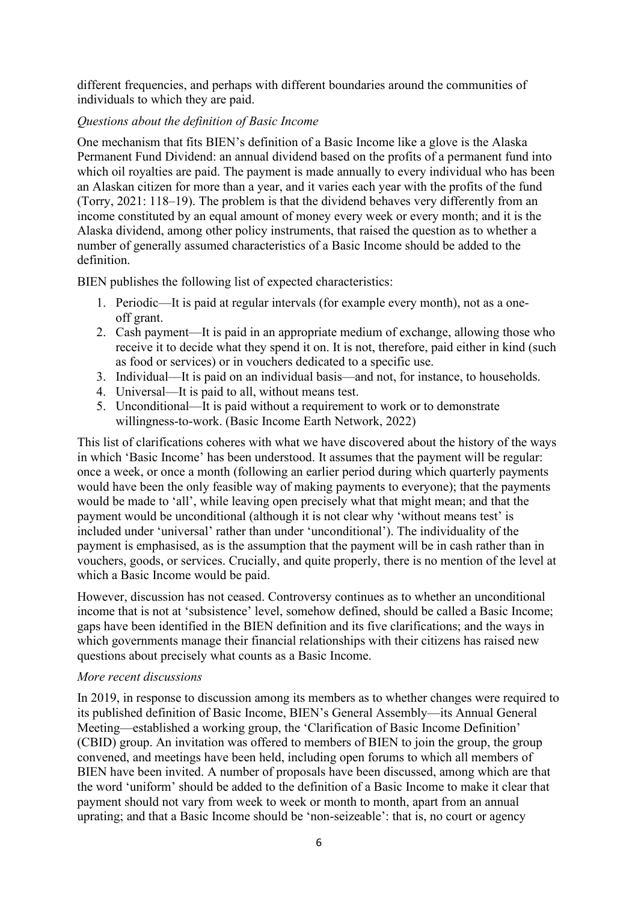different frequencies, and perhaps with different boundaries around the communities of individuals to which they are paid.

## *Questions about the definition of Basic Income*

One mechanism that fits BIEN's definition of a Basic Income like a glove is the Alaska Permanent Fund Dividend: an annual dividend based on the profits of a permanent fund into which oil royalties are paid. The payment is made annually to every individual who has been an Alaskan citizen for more than a year, and it varies each year with the profits of the fund (Torry, 2021: 118–19). The problem is that the dividend behaves very differently from an income constituted by an equal amount of money every week or every month; and it is the Alaska dividend, among other policy instruments, that raised the question as to whether a number of generally assumed characteristics of a Basic Income should be added to the definition.

BIEN publishes the following list of expected characteristics:

- 1. Periodic—It is paid at regular intervals (for example every month), not as a oneoff grant.
- 2. Cash payment—It is paid in an appropriate medium of exchange, allowing those who receive it to decide what they spend it on. It is not, therefore, paid either in kind (such as food or services) or in vouchers dedicated to a specific use.
- 3. Individual—It is paid on an individual basis—and not, for instance, to households.
- 4. Universal—It is paid to all, without means test.
- 5. Unconditional—It is paid without a requirement to work or to demonstrate willingness-to-work. (Basic Income Earth Network, 2022)

This list of clarifications coheres with what we have discovered about the history of the ways in which 'Basic Income' has been understood. It assumes that the payment will be regular: once a week, or once a month (following an earlier period during which quarterly payments would have been the only feasible way of making payments to everyone); that the payments would be made to 'all', while leaving open precisely what that might mean; and that the payment would be unconditional (although it is not clear why 'without means test' is included under 'universal' rather than under 'unconditional'). The individuality of the payment is emphasised, as is the assumption that the payment will be in cash rather than in vouchers, goods, or services. Crucially, and quite properly, there is no mention of the level at which a Basic Income would be paid.

However, discussion has not ceased. Controversy continues as to whether an unconditional income that is not at 'subsistence' level, somehow defined, should be called a Basic Income; gaps have been identified in the BIEN definition and its five clarifications; and the ways in which governments manage their financial relationships with their citizens has raised new questions about precisely what counts as a Basic Income.

## *More recent discussions*

In 2019, in response to discussion among its members as to whether changes were required to its published definition of Basic Income, BIEN's General Assembly—its Annual General Meeting—established a working group, the 'Clarification of Basic Income Definition' (CBID) group. An invitation was offered to members of BIEN to join the group, the group convened, and meetings have been held, including open forums to which all members of BIEN have been invited. A number of proposals have been discussed, among which are that the word 'uniform' should be added to the definition of a Basic Income to make it clear that payment should not vary from week to week or month to month, apart from an annual uprating; and that a Basic Income should be 'non-seizeable': that is, no court or agency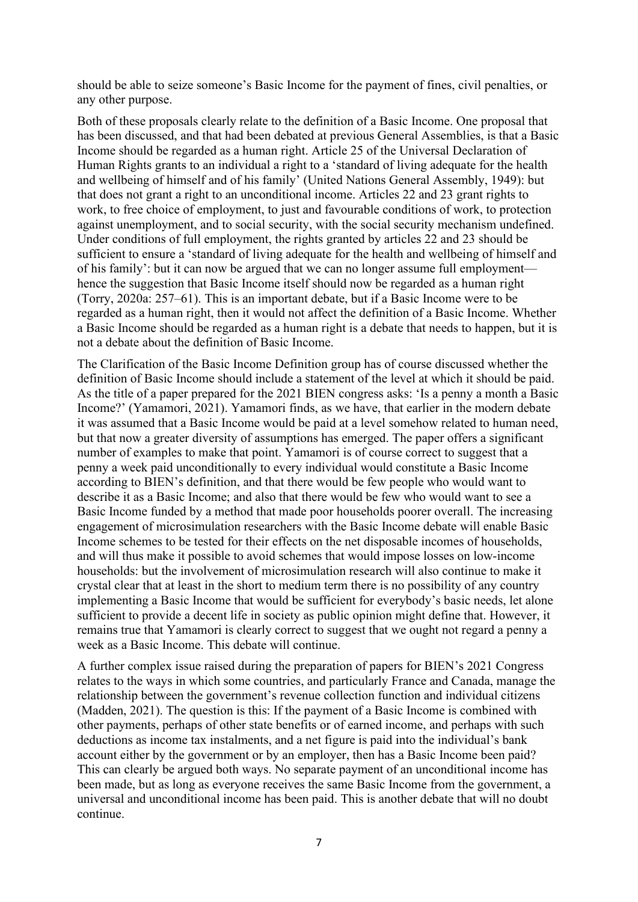should be able to seize someone's Basic Income for the payment of fines, civil penalties, or any other purpose.

Both of these proposals clearly relate to the definition of a Basic Income. One proposal that has been discussed, and that had been debated at previous General Assemblies, is that a Basic Income should be regarded as a human right. Article 25 of the Universal Declaration of Human Rights grants to an individual a right to a 'standard of living adequate for the health and wellbeing of himself and of his family' (United Nations General Assembly, 1949): but that does not grant a right to an unconditional income. Articles 22 and 23 grant rights to work, to free choice of employment, to just and favourable conditions of work, to protection against unemployment, and to social security, with the social security mechanism undefined. Under conditions of full employment, the rights granted by articles 22 and 23 should be sufficient to ensure a 'standard of living adequate for the health and wellbeing of himself and of his family': but it can now be argued that we can no longer assume full employment hence the suggestion that Basic Income itself should now be regarded as a human right (Torry, 2020a: 257–61). This is an important debate, but if a Basic Income were to be regarded as a human right, then it would not affect the definition of a Basic Income. Whether a Basic Income should be regarded as a human right is a debate that needs to happen, but it is not a debate about the definition of Basic Income.

The Clarification of the Basic Income Definition group has of course discussed whether the definition of Basic Income should include a statement of the level at which it should be paid. As the title of a paper prepared for the 2021 BIEN congress asks: 'Is a penny a month a Basic Income?' (Yamamori, 2021). Yamamori finds, as we have, that earlier in the modern debate it was assumed that a Basic Income would be paid at a level somehow related to human need, but that now a greater diversity of assumptions has emerged. The paper offers a significant number of examples to make that point. Yamamori is of course correct to suggest that a penny a week paid unconditionally to every individual would constitute a Basic Income according to BIEN's definition, and that there would be few people who would want to describe it as a Basic Income; and also that there would be few who would want to see a Basic Income funded by a method that made poor households poorer overall. The increasing engagement of microsimulation researchers with the Basic Income debate will enable Basic Income schemes to be tested for their effects on the net disposable incomes of households, and will thus make it possible to avoid schemes that would impose losses on low-income households: but the involvement of microsimulation research will also continue to make it crystal clear that at least in the short to medium term there is no possibility of any country implementing a Basic Income that would be sufficient for everybody's basic needs, let alone sufficient to provide a decent life in society as public opinion might define that. However, it remains true that Yamamori is clearly correct to suggest that we ought not regard a penny a week as a Basic Income. This debate will continue.

A further complex issue raised during the preparation of papers for BIEN's 2021 Congress relates to the ways in which some countries, and particularly France and Canada, manage the relationship between the government's revenue collection function and individual citizens (Madden, 2021). The question is this: If the payment of a Basic Income is combined with other payments, perhaps of other state benefits or of earned income, and perhaps with such deductions as income tax instalments, and a net figure is paid into the individual's bank account either by the government or by an employer, then has a Basic Income been paid? This can clearly be argued both ways. No separate payment of an unconditional income has been made, but as long as everyone receives the same Basic Income from the government, a universal and unconditional income has been paid. This is another debate that will no doubt continue.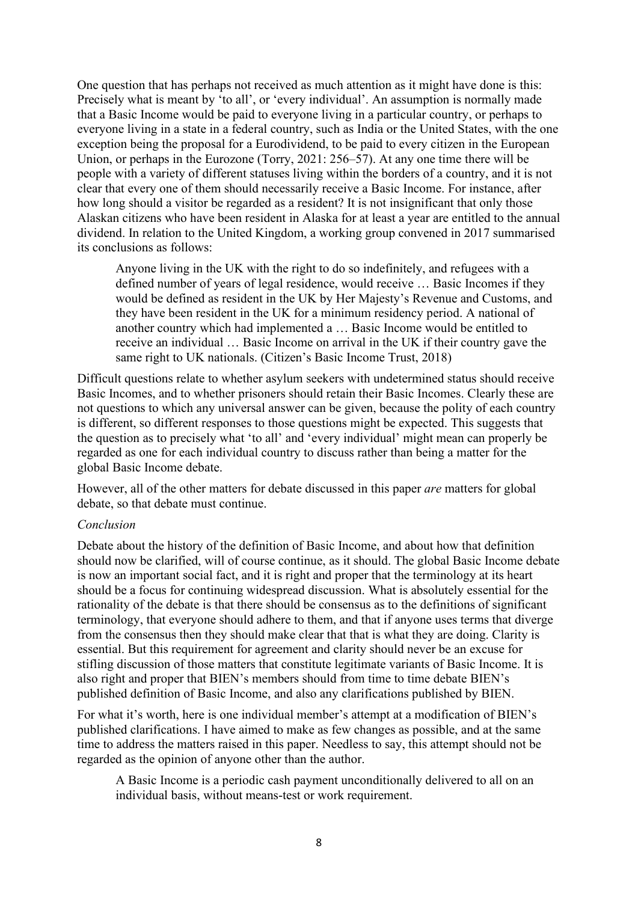One question that has perhaps not received as much attention as it might have done is this: Precisely what is meant by 'to all', or 'every individual'. An assumption is normally made that a Basic Income would be paid to everyone living in a particular country, or perhaps to everyone living in a state in a federal country, such as India or the United States, with the one exception being the proposal for a Eurodividend, to be paid to every citizen in the European Union, or perhaps in the Eurozone (Torry, 2021: 256–57). At any one time there will be people with a variety of different statuses living within the borders of a country, and it is not clear that every one of them should necessarily receive a Basic Income. For instance, after how long should a visitor be regarded as a resident? It is not insignificant that only those Alaskan citizens who have been resident in Alaska for at least a year are entitled to the annual dividend. In relation to the United Kingdom, a working group convened in 2017 summarised its conclusions as follows:

Anyone living in the UK with the right to do so indefinitely, and refugees with a defined number of years of legal residence, would receive … Basic Incomes if they would be defined as resident in the UK by Her Majesty's Revenue and Customs, and they have been resident in the UK for a minimum residency period. A national of another country which had implemented a … Basic Income would be entitled to receive an individual … Basic Income on arrival in the UK if their country gave the same right to UK nationals. (Citizen's Basic Income Trust, 2018)

Difficult questions relate to whether asylum seekers with undetermined status should receive Basic Incomes, and to whether prisoners should retain their Basic Incomes. Clearly these are not questions to which any universal answer can be given, because the polity of each country is different, so different responses to those questions might be expected. This suggests that the question as to precisely what 'to all' and 'every individual' might mean can properly be regarded as one for each individual country to discuss rather than being a matter for the global Basic Income debate.

However, all of the other matters for debate discussed in this paper *are* matters for global debate, so that debate must continue.

### *Conclusion*

Debate about the history of the definition of Basic Income, and about how that definition should now be clarified, will of course continue, as it should. The global Basic Income debate is now an important social fact, and it is right and proper that the terminology at its heart should be a focus for continuing widespread discussion. What is absolutely essential for the rationality of the debate is that there should be consensus as to the definitions of significant terminology, that everyone should adhere to them, and that if anyone uses terms that diverge from the consensus then they should make clear that that is what they are doing. Clarity is essential. But this requirement for agreement and clarity should never be an excuse for stifling discussion of those matters that constitute legitimate variants of Basic Income. It is also right and proper that BIEN's members should from time to time debate BIEN's published definition of Basic Income, and also any clarifications published by BIEN.

For what it's worth, here is one individual member's attempt at a modification of BIEN's published clarifications. I have aimed to make as few changes as possible, and at the same time to address the matters raised in this paper. Needless to say, this attempt should not be regarded as the opinion of anyone other than the author.

A Basic Income is a periodic cash payment unconditionally delivered to all on an individual basis, without means-test or work requirement.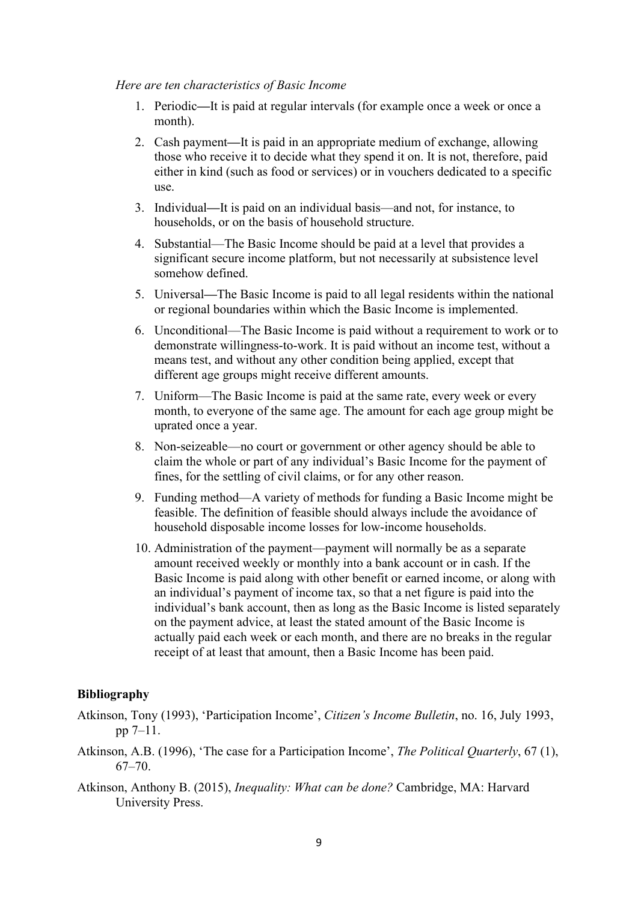#### *Here are ten characteristics of Basic Income*

- 1. Periodic**—**It is paid at regular intervals (for example once a week or once a month).
- 2. Cash payment**—**It is paid in an appropriate medium of exchange, allowing those who receive it to decide what they spend it on. It is not, therefore, paid either in kind (such as food or services) or in vouchers dedicated to a specific use.
- 3. Individual**—**It is paid on an individual basis—and not, for instance, to households, or on the basis of household structure.
- 4. Substantial—The Basic Income should be paid at a level that provides a significant secure income platform, but not necessarily at subsistence level somehow defined.
- 5. Universal**—**The Basic Income is paid to all legal residents within the national or regional boundaries within which the Basic Income is implemented.
- 6. Unconditional—The Basic Income is paid without a requirement to work or to demonstrate willingness-to-work. It is paid without an income test, without a means test, and without any other condition being applied, except that different age groups might receive different amounts.
- 7. Uniform—The Basic Income is paid at the same rate, every week or every month, to everyone of the same age. The amount for each age group might be uprated once a year.
- 8. Non-seizeable—no court or government or other agency should be able to claim the whole or part of any individual's Basic Income for the payment of fines, for the settling of civil claims, or for any other reason.
- 9. Funding method—A variety of methods for funding a Basic Income might be feasible. The definition of feasible should always include the avoidance of household disposable income losses for low-income households.
- 10. Administration of the payment—payment will normally be as a separate amount received weekly or monthly into a bank account or in cash. If the Basic Income is paid along with other benefit or earned income, or along with an individual's payment of income tax, so that a net figure is paid into the individual's bank account, then as long as the Basic Income is listed separately on the payment advice, at least the stated amount of the Basic Income is actually paid each week or each month, and there are no breaks in the regular receipt of at least that amount, then a Basic Income has been paid.

#### **Bibliography**

- Atkinson, Tony (1993), 'Participation Income', *Citizen's Income Bulletin*, no. 16, July 1993, pp 7–11.
- Atkinson, A.B. (1996), 'The case for a Participation Income', *The Political Quarterly*, 67 (1), 67–70.
- Atkinson, Anthony B. (2015), *Inequality: What can be done?* Cambridge, MA: Harvard University Press.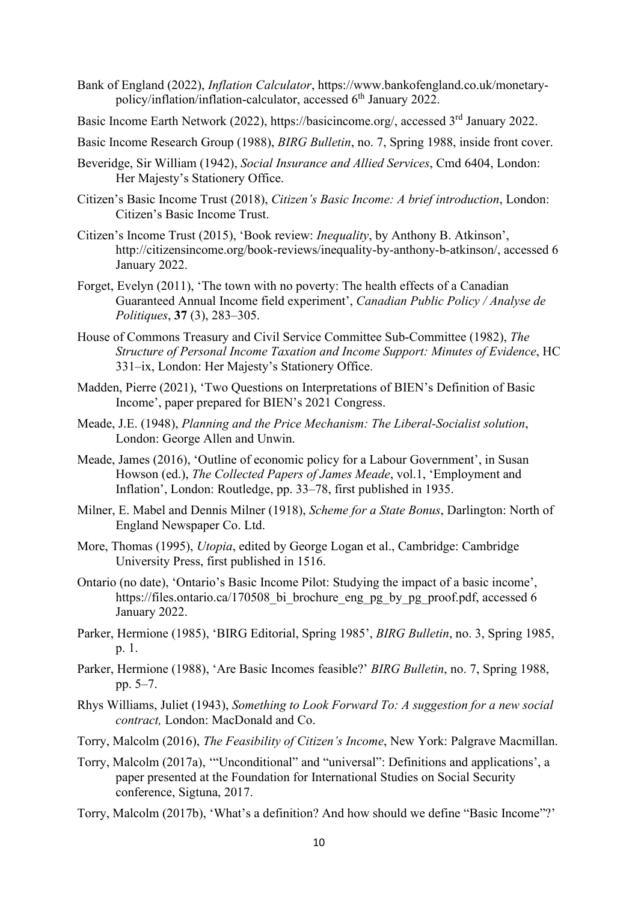- Bank of England (2022), *Inflation Calculator*, https://www.bankofengland.co.uk/monetarypolicy/inflation/inflation-calculator, accessed 6<sup>th</sup> January 2022.
- Basic Income Earth Network (2022), https://basicincome.org/, accessed 3<sup>rd</sup> January 2022.
- Basic Income Research Group (1988), *BIRG Bulletin*, no. 7, Spring 1988, inside front cover.
- Beveridge, Sir William (1942), *Social Insurance and Allied Services*, Cmd 6404, London: Her Majesty's Stationery Office.
- Citizen's Basic Income Trust (2018), *Citizen's Basic Income: A brief introduction*, London: Citizen's Basic Income Trust.
- Citizen's Income Trust (2015), 'Book review: *Inequality*, by Anthony B. Atkinson', http://citizensincome.org/book-reviews/inequality-by-anthony-b-atkinson/, accessed 6 January 2022.
- Forget, Evelyn (2011), 'The town with no poverty: The health effects of a Canadian Guaranteed Annual Income field experiment', *Canadian Public Policy / Analyse de Politiques*, **37** (3), 283–305.
- House of Commons Treasury and Civil Service Committee Sub-Committee (1982), *The Structure of Personal Income Taxation and Income Support: Minutes of Evidence*, HC 331–ix, London: Her Majesty's Stationery Office.
- Madden, Pierre (2021), 'Two Questions on Interpretations of BIEN's Definition of Basic Income', paper prepared for BIEN's 2021 Congress.
- Meade, J.E. (1948), *Planning and the Price Mechanism: The Liberal-Socialist solution*, London: George Allen and Unwin.
- Meade, James (2016), 'Outline of economic policy for a Labour Government', in Susan Howson (ed.), *The Collected Papers of James Meade*, vol.1, 'Employment and Inflation', London: Routledge, pp. 33–78, first published in 1935.
- Milner, E. Mabel and Dennis Milner (1918), *Scheme for a State Bonus*, Darlington: North of England Newspaper Co. Ltd.
- More, Thomas (1995), *Utopia*, edited by George Logan et al., Cambridge: Cambridge University Press, first published in 1516.
- Ontario (no date), 'Ontario's Basic Income Pilot: Studying the impact of a basic income', https://files.ontario.ca/170508\_bi\_brochure\_eng\_pg\_by\_pg\_proof.pdf, accessed 6 January 2022.
- Parker, Hermione (1985), 'BIRG Editorial, Spring 1985', *BIRG Bulletin*, no. 3, Spring 1985, p. 1.
- Parker, Hermione (1988), 'Are Basic Incomes feasible?' *BIRG Bulletin*, no. 7, Spring 1988, pp. 5–7.
- Rhys Williams, Juliet (1943), *Something to Look Forward To: A suggestion for a new social contract,* London: MacDonald and Co.
- Torry, Malcolm (2016), *The Feasibility of Citizen's Income*, New York: Palgrave Macmillan.
- Torry, Malcolm (2017a), '"Unconditional" and "universal": Definitions and applications', a paper presented at the Foundation for International Studies on Social Security conference, Sigtuna, 2017.
- Torry, Malcolm (2017b), 'What's a definition? And how should we define "Basic Income"?'